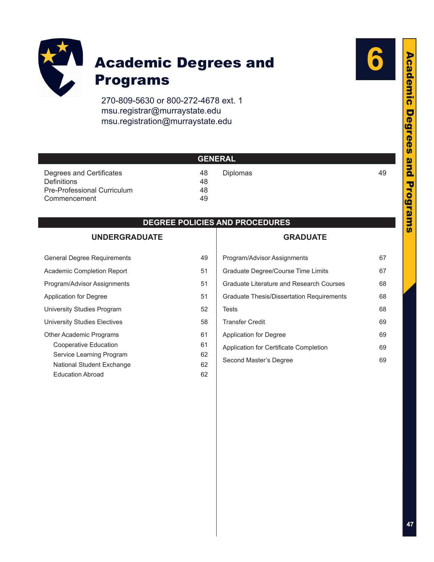

### Academic Degrees and Programs

270-809-5630 or 800-272-4678 ext. 1 msu.registrar@murraystate.edu [msu.registration@murraystate.edu](mailto:msu.registration@murraystate.edu)



| <b>GENERAL</b>                     |    |                 |    |  |
|------------------------------------|----|-----------------|----|--|
| Degrees and Certificates           | 48 | <b>Diplomas</b> | 49 |  |
| <b>Definitions</b>                 | 48 |                 |    |  |
| <b>Pre-Professional Curriculum</b> | 48 |                 |    |  |
| Commencement                       | 49 |                 |    |  |

#### **DEGREE POLICIES AND PROCEDURES**

#### **[UNDERGRADUATE](#page-2-0)**

| <b>General Degree Requirements</b> | 49 |
|------------------------------------|----|
| Academic Completion Report         | 51 |
| Program/Advisor Assignments        | 51 |
| Application for Degree             | 51 |
| University Studies Program         | 52 |
| University Studies Electives       | 58 |
| <b>Other Academic Programs</b>     | 61 |
| Cooperative Education              | 61 |
| Service Learning Program           | 62 |
| National Student Exchange          | 62 |
| <b>Education Abroad</b>            | 62 |

#### **[GRADUATE](#page-20-0)**

| Program/Advisor Assignments               | 67 |
|-------------------------------------------|----|
| Graduate Degree/Course Time Limits        | 67 |
| Graduate Literature and Research Courses  | 68 |
| Graduate Thesis/Dissertation Requirements | 68 |
| Tests                                     | 68 |
| <b>Transfer Credit</b>                    | 69 |
| <b>Application for Degree</b>             | 69 |
| Application for Certificate Completion    | 69 |
| Second Master's Degree                    | 69 |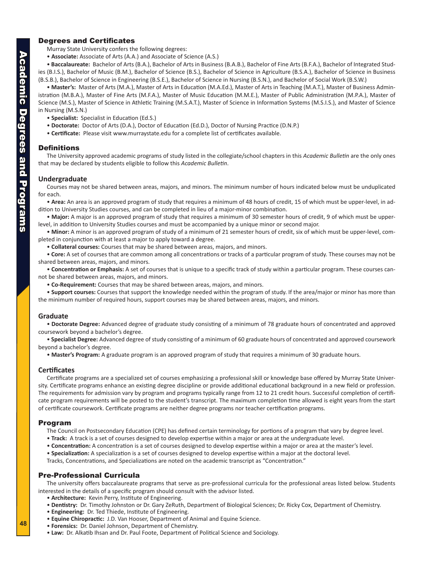#### <span id="page-1-0"></span>Degrees and Certificates

Murray State University confers the following degrees:

• **Associate:** Associate of Arts (A.A.) and Associate of Science (A.S.)

• **Baccalaureate:** Bachelor of Arts (B.A.), Bachelor of Arts in Business (B.A.B.), Bachelor of Fine Arts (B.F.A.), Bachelor of Integrated Studies (B.I.S.), Bachelor of Music (B.M.), Bachelor of Science (B.S.), Bachelor of Science in Agriculture (B.S.A.), Bachelor of Science in Business (B.S.B.), Bachelor of Science in Engineering (B.S.E.), Bachelor of Science in Nursing (B.S.N.), and Bachelor of Social Work (B.S.W.)

• **Master's:** Master of Arts (M.A.), Master of Arts in Education (M.A.Ed.), Master of Arts in Teaching (M.A.T.), Master of Business Administration (M.B.A.), Master of Fine Arts (M.F.A.), Master of Music Education (M.M.E.), Master of Public Administration (M.P.A.), Master of Science (M.S.), Master of Science in Athletic Training (M.S.A.T.), Master of Science in Information Systems (M.S.I.S.), and Master of Science in Nursing (M.S.N.)

- **Specialist:** Specialist in Education (Ed.S.)
- **Doctorate:** Doctor of Arts (D.A.), Doctor of Education (Ed.D.), Doctor of Nursing Practice (D.N.P.)
- **Certificate:** Please visit www.murraystate.edu for a complete list of certificates available.

#### **Definitions**

The University approved academic programs of study listed in the collegiate/school chapters in this *Academic Bulletin* are the only ones that may be declared by students eligible to follow this *Academic Bulletin*.

#### **Undergraduate**

Courses may not be shared between areas, majors, and minors. The minimum number of hours indicated below must be unduplicated for each.

• **Area:** An area is an approved program of study that requires a minimum of 48 hours of credit, 15 of which must be upper-level, in addition to University Studies courses, and can be completed in lieu of a major-minor combination.

• **Major:** A major is an approved program of study that requires a minimum of 30 semester hours of credit, 9 of which must be upperlevel, in addition to University Studies courses and must be accompanied by a unique minor or second major.

• **Minor:** A minor is an approved program of study of a minimum of 21 semester hours of credit, six of which must be upper-level, completed in conjunction with at least a major to apply toward a degree.

• **Collateral courses:** Courses that may be shared between areas, majors, and minors.

• **Core:** A set of courses that are common among all concentrations or tracks of a particular program of study. These courses may not be shared between areas, majors, and minors.

• **Concentration or Emphasis:** A set of courses that is unique to a specific track of study within a particular program. These courses cannot be shared between areas, majors, and minors.

• **Co-Requirement:** Courses that may be shared between areas, majors, and minors.

• **Support courses:** Courses that support the knowledge needed within the program of study. If the area/major or minor has more than the minimum number of required hours, support courses may be shared between areas, majors, and minors.

#### **Graduate**

• **Doctorate Degree:** Advanced degree of graduate study consisting of a minimum of 78 graduate hours of concentrated and approved coursework beyond a bachelor's degree.

• **Specialist Degree:** Advanced degree of study consisting of a minimum of 60 graduate hours of concentrated and approved coursework beyond a bachelor's degree.

• **Master's Program:** A graduate program is an approved program of study that requires a minimum of 30 graduate hours.

#### **Certificates**

Certificate programs are a specialized set of courses emphasizing a professional skill or knowledge base offered by Murray State University. Certificate programs enhance an existing degree discipline or provide additional educational background in a new field or profession. The requirements for admission vary by program and programs typically range from 12 to 21 credit hours. Successful completion of certificate program requirements will be posted to the student's transcript. The maximum completion time allowed is eight years from the start of certificate coursework. Certificate programs are neither degree programs nor teacher certification programs.

#### Program

The Council on Postsecondary Education (CPE) has defined certain terminology for portions of a program that vary by degree level.

- **Track:** A track is a set of courses designed to develop expertise within a major or area at the undergraduate level.
- **Concentration:** A concentration is a set of courses designed to develop expertise within a major or area at the master's level.

• **Specialization:** A specialization is a set of courses designed to develop expertise within a major at the doctoral level.

Tracks, Concentrations, and Specializations are noted on the academic transcript as "Concentration."

#### Pre-Professional Curricula

The university offers baccalaureate programs that serve as pre-professional curricula for the professional areas listed below. Students interested in the details of a specific program should consult with the advisor listed.

- **Architecture:** Kevin Perry, Institute of Engineering.
- **Dentistry:** Dr. Timothy Johnston or Dr. Gary ZeRuth, Department of Biological Sciences; Dr. Ricky Cox, Department of Chemistry.
- **Engineering:** Dr. Ted Thiede, Institute of Engineering.
- **Equine Chiropractic:** J.D. Van Hooser, Department of Animal and Equine Science.
- **Forensics:** Dr. Daniel Johnson, Department of Chemistry.
- **Law:** Dr. Alkatib Ihsan and Dr. Paul Foote, Department of Political Science and Sociology.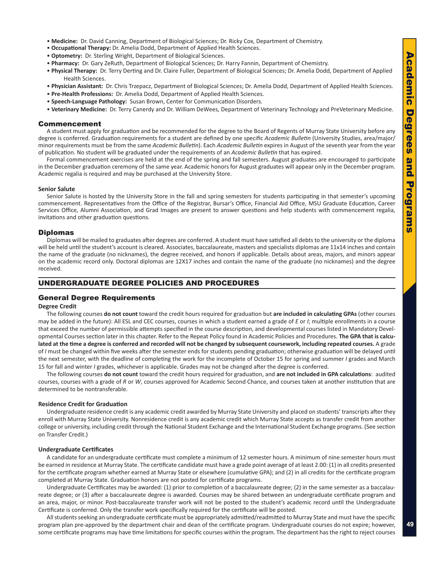- <span id="page-2-0"></span>• **Medicine:** Dr. David Canning, Department of Biological Sciences; Dr. Ricky Cox, Department of Chemistry.
- **Occupational Therapy:** Dr. Amelia Dodd, Department of Applied Health Sciences.
- **Optometry:** Dr. Sterling Wright, Department of Biological Sciences.
- **Pharmacy:** Dr. Gary ZeRuth, Department of Biological Sciences; Dr. Harry Fannin, Department of Chemistry.
- **Physical Therapy:** Dr. Terry Derting and Dr. Claire Fuller, Department of Biological Sciences; Dr. Amelia Dodd, Department of Applied Health Sciences.
- **Physician Assistant:** Dr. Chris Trzepacz, Department of Biological Sciences; Dr. Amelia Dodd, Department of Applied Health Sciences.
- **Pre-Health Professions:** Dr. Amelia Dodd, Department of Applied Health Sciences.
- **Speech-Language Pathology:** Susan Brown, Center for Communication Disorders.
- **Veterinary Medicine:** Dr. Terry Canerdy and Dr. William DeWees, Department of Veterinary Technology and PreVeterinary Medicine.

#### Commencement

A student must apply for graduation and be recommended for the degree to the Board of Regents of Murray State University before any degree is conferred. Graduation requirements for a student are defined by one specific *Academic Bulletin* (University Studies, area/major/ minor requirements must be from the same *Academic Bulletin*). Each *Academic Bulletin* expires in August of the seventh year from the year of publication. No student will be graduated under the requirements of an *Academic Bulletin* that has expired.

Formal commencement exercises are held at the end of the spring and fall semesters. August graduates are encouraged to participate in the December graduation ceremony of the same year. Academic honors for August graduates will appear only in the December program. Academic regalia is required and may be purchased at the University Store.

#### **Senior Salute**

Senior Salute is hosted by the University Store in the fall and spring semesters for students participating in that semester's upcoming commencement. Representatives from the Office of the Registrar, Bursar's Office, Financial Aid Office, MSU Graduate Education, Career Services Office, Alumni Association, and Grad Images are present to answer questions and help students with commencement regalia, invitations and other graduation questions.

#### Diplomas

Diplomas will be mailed to graduates after degrees are conferred. A student must have satisfied all debts to the university or the diploma will be held until the student's account is cleared. Associates, baccalaureate, masters and specialists diplomas are 11x14 inches and contain the name of the graduate (no nicknames), the degree received, and honors if applicable. Details about areas, majors, and minors appear on the academic record only. Doctoral diplomas are 12X17 inches and contain the name of the graduate (no nicknames) and the degree received.

#### UNDERGRADUATE DEGREE POLICIES AND PROCEDURES

#### General Degree Requirements

#### **Degree Credit**

The following courses **do not count** toward the credit hours required for graduation but **are included in calculating GPAs** (other courses may be added in the future): All ESL and CEC courses, courses in which a student earned a grade of *E* or *I*; multiple enrollments in a course that exceed the number of permissible attempts specified in the course description, and developmental courses listed in Mandatory Developmental Courses section later in this chapter. Refer to the Repeat Policy found in Academic Policies and Procedures. **The GPA that is calculated at the time a degree is conferred and recorded will not be changed by subsequent coursework, including repeated courses.** A grade of *I* must be changed within five weeks after the semester ends for students pending graduation; otherwise graduation will be delayed until the next semester, with the deadline of completing the work for the incomplete of October 15 for spring and summer *I* grades and March 15 for fall and winter *I* grades, whichever is applicable. Grades may not be changed after the degree is conferred.

The following courses **do not count** toward the credit hours required for graduation, and **are not included in GPA calculations**: audited courses, courses with a grade of *R* or *W*, courses approved for Academic Second Chance, and courses taken at another institution that are determined to be nontransferable.

#### **Residence Credit for Graduation**

Undergraduate residence credit is any academic credit awarded by Murray State University and placed on students' transcripts after they enroll with Murray State University. Nonresidence credit is any academic credit which Murray State accepts as transfer credit from another college or university, including credit through the National Student Exchange and the International Student Exchange programs. (See section on Transfer Credit.)

#### **Undergraduate Certificates**

A candidate for an undergraduate certificate must complete a minimum of 12 semester hours. A minimum of nine semester hours must be earned in residence at Murray State. The certificate candidate must have a grade point average of at least 2.00: (1) in all credits presented for the certificate program whether earned at Murray State or elsewhere (cumulative GPA); and (2) in all credits for the certificate program completed at Murray State. Graduation honors are not posted for certificate programs.

Undergraduate Certificates may be awarded: (1) prior to completion of a baccalaureate degree; (2) in the same semester as a baccalaureate degree; or (3) after a baccalaureate degree is awarded. Courses may be shared between an undergraduate certificate program and an area, major, or minor. Post-baccalaureate transfer work will not be posted to the student's academic record until the Undergraduate Certificate is conferred. Only the transfer work specifically required for the certificate will be posted.

All students seeking an undergraduate certificate must be appropriately admitted/readmitted to Murray State and must have the specific program plan pre-approved by the department chair and dean of the certificate program. Undergraduate courses do not expire; however, some certificate programs may have time limitations for specific courses within the program. The department has the right to reject courses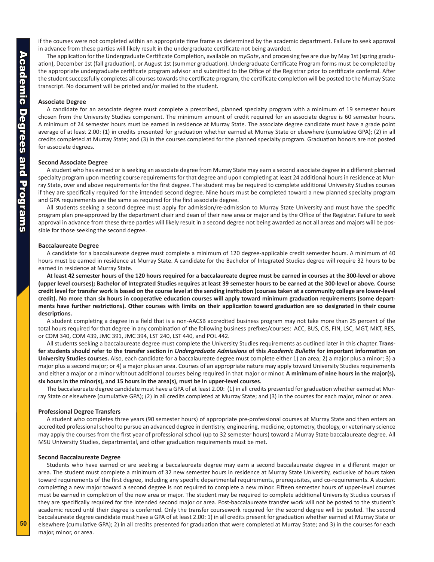if the courses were not completed within an appropriate time frame as determined by the academic department. Failure to seek approval in advance from these parties will likely result in the undergraduate certificate not being awarded.

The application for the Undergraduate Certificate Completion, available on *myGate*, and processing fee are due by May 1st (spring graduation), December 1st (fall graduation), or August 1st (summer graduation). Undergraduate Certificate Program forms must be completed by the appropriate undergraduate certificate program advisor and submitted to the Office of the Registrar prior to certificate conferral. After the student successfully completes all courses towards the certificate program, the certificate completion will be posted to the Murray State transcript. No document will be printed and/or mailed to the student.

#### **Associate Degree**

A candidate for an associate degree must complete a prescribed, planned specialty program with a minimum of 19 semester hours chosen from the University Studies component. The minimum amount of credit required for an associate degree is 60 semester hours. A minimum of 24 semester hours must be earned in residence at Murray State. The associate degree candidate must have a grade point average of at least 2.00: (1) in credits presented for graduation whether earned at Murray State or elsewhere (cumulative GPA); (2) in all credits completed at Murray State; and (3) in the courses completed for the planned specialty program. Graduation honors are not posted for associate degrees.

#### **Second Associate Degree**

A student who has earned or is seeking an associate degree from Murray State may earn a second associate degree in a different planned specialty program upon meeting course requirements for that degree and upon completing at least 24 additional hours in residence at Murray State, over and above requirements for the first degree. The student may be required to complete additional University Studies courses if they are specifically required for the intended second degree. Nine hours must be completed toward a new planned specialty program and GPA requirements are the same as required for the first associate degree.

All students seeking a second degree must apply for admission/re-admission to Murray State University and must have the specific program plan pre-approved by the department chair and dean of their new area or major and by the Office of the Registrar. Failure to seek approval in advance from these three parties will likely result in a second degree not being awarded as not all areas and majors will be possible for those seeking the second degree.

#### **Baccalaureate Degree**

A candidate for a baccalaureate degree must complete a minimum of 120 degree-applicable credit semester hours. A minimum of 40 hours must be earned in residence at Murray State. A candidate for the Bachelor of Integrated Studies degree will require 32 hours to be earned in residence at Murray State.

**At least 42 semester hours of the 120 hours required for a baccalaureate degree must be earned in courses at the 300-level or above (upper level courses); Bachelor of Integrated Studies requires at least 39 semester hours to be earned at the 300-level or above. Course credit level for transfer work is based on the course level at the sending institution (courses taken at a community college are lower-level credit). No more than six hours in cooperative education courses will apply toward minimum graduation requirements (some departments have further restrictions). Other courses with limits on their application toward graduation are so designated in their course descriptions.**

A student completing a degree in a field that is a non-AACSB accredited business program may not take more than 25 percent of the total hours required for that degree in any combination of the following business prefixes/courses: ACC, BUS, CIS, FIN, LSC, MGT, MKT, RES, or COM 340, COM 439, JMC 391, JMC 394, LST 240, LST 440, and POL 442.

All students seeking a baccalaureate degree must complete the University Studies requirements as outlined later in this chapter. **Transfer students should refer to the transfer section in** *Undergraduate Admissions* **of this** *Academic Bulletin* **for important information on University Studies courses.** Also, each candidate for a baccalaureate degree must complete either 1) an area; 2) a major plus a minor; 3) a major plus a second major; or 4) a major plus an area. Courses of an appropriate nature may apply toward University Studies requirements and either a major or a minor without additional courses being required in that major or minor. **A minimum of nine hours in the major(s), six hours in the minor(s), and 15 hours in the area(s), must be in upper-level courses.**

The baccalaureate degree candidate must have a GPA of at least 2.00: (1) in all credits presented for graduation whether earned at Murray State or elsewhere (cumulative GPA); (2) in all credits completed at Murray State; and (3) in the courses for each major, minor or area.

#### **Professional Degree Transfers**

A student who completes three years (90 semester hours) of appropriate pre-professional courses at Murray State and then enters an accredited professional school to pursue an advanced degree in dentistry, engineering, medicine, optometry, theology, or veterinary science may apply the courses from the first year of professional school (up to 32 semester hours) toward a Murray State baccalaureate degree. All MSU University Studies, departmental, and other graduation requirements must be met.

#### **Second Baccalaureate Degree**

Students who have earned or are seeking a baccalaureate degree may earn a second baccalaureate degree in a different major or area. The student must complete a minimum of 32 new semester hours in residence at Murray State University, exclusive of hours taken toward requirements of the first degree, including any specific departmental requirements, prerequisites, and co-requirements. A student completing a new major toward a second degree is not required to complete a new minor. Fifteen semester hours of upper-level courses must be earned in completion of the new area or major. The student may be required to complete additional University Studies courses if they are specifically required for the intended second major or area. Post-baccalaureate transfer work will not be posted to the student's academic record until their degree is conferred. Only the transfer coursework required for the second degree will be posted. The second baccalaureate degree candidate must have a GPA of at least 2.00: 1) in all credits present for graduation whether earned at Murray State or elsewhere (cumulative GPA); 2) in all credits presented for graduation that were completed at Murray State; and 3) in the courses for each major, minor, or area.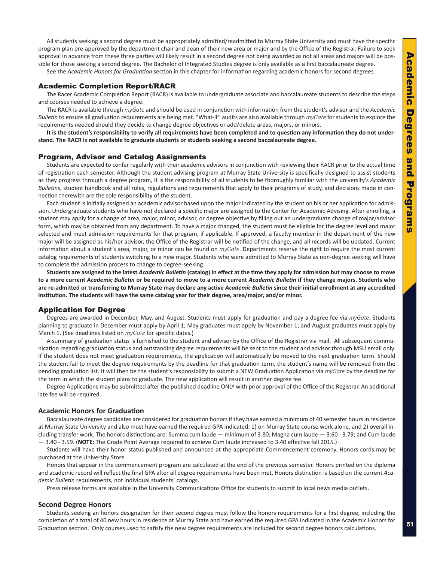<span id="page-4-0"></span>All students seeking a second degree must be appropriately admitted/readmitted to Murray State University and must have the specific program plan pre-approved by the department chair and dean of their new area or major and by the Office of the Registrar. Failure to seek approval in advance from these three parties will likely result in a second degree not being awarded as not all areas and majors will be possible for those seeking a second degree. The Bachelor of Integrated Studies degree is only available as a first baccalaureate degree.

See the *Academic Honors for Graduation* section in this chapter for information regarding academic honors for second degrees.

#### Academic Completion Report/RACR

The Racer Academic Completion Report (RACR) is available to undergraduate associate and baccalaureate students to describe the steps and courses needed to achieve a degree.

The RACR is available through *myGate* and should be used in conjunction with information from the student's advisor and the *Academic Bulletin* to ensure all graduation requirements are being met. "What-if" audits are also available through *myGate* for students to explore the requirements needed should they decide to change degree objectives or add/delete areas, majors, or minors.

**It is the student's responsibility to verify all requirements have been completed and to question any information they do not understand. The RACR is not available to graduate students or students seeking a second baccalaureate degree.** 

#### Program, Advisor and Catalog Assignments

Students are expected to confer regularly with their academic advisors in conjunction with reviewing their RACR prior to the actual time of registration each semester. Although the student advising program at Murray State University is specifically designed to assist students as they progress through a degree program, it is the responsibility of all students to be thoroughly familiar with the university's *Academic Bulletin*s, student handbook and all rules, regulations and requirements that apply to their programs of study, and decisions made in connection therewith are the sole responsibility of the student.

Each student is initially assigned an academic advisor based upon the major indicated by the student on his or her application for admission. Undergraduate students who have not declared a specific major are assigned to the Center for Academic Advising. After enrolling, a student may apply for a change of area, major, minor, advisor, or degree objective by filling out an undergraduate change of major/advisor form, which may be obtained from any department. To have a major changed, the student must be eligible for the degree level and major selected and meet admission requirements for that program, if applicable. If approved, a faculty member in the department of the new major will be assigned as his/her advisor, the Office of the Registrar will be notified of the change, and all records will be updated. Current information about a student's area, major, or minor can be found on *myGate*. Departments reserve the right to require the most current catalog requirements of students switching to a new major. Students who were admitted to Murray State as non-degree seeking will have to complete the admission process to change to degree-seeking.

**Students are assigned to the latest** *Academic Bulletin* **(catalog) in effect at the time they apply for admission but may choose to move to a more current** *Academic Bulletin* **or be required to move to a more current** *Academic Bulletin* **if they change majors. Students who are re-admitted or transferring to Murray State may declare any active** *Academic Bulletin* **since their initial enrollment at any accredited institution. The students will have the same catalog year for their degree, area/major, and/or minor.**

#### Application for Degree

Degrees are awarded in December, May, and August. Students must apply for graduation and pay a degree fee via *myGate*. Students planning to graduate in December must apply by April 1; May graduates must apply by November 1; and August graduates must apply by March 1. (See deadlines listed on *myGate* for specific dates.)

A summary of graduation status is furnished to the student and advisor by the Office of the Registrar via mail. All subsequent communication regarding graduation status and outstanding degree requirements will be sent to the student and advisor through MSU email only. If the student does not meet graduation requirements, the application will automatically be moved to the next graduation term. Should the student fail to meet the degree requirements by the deadline for that graduation term, the student's name will be removed from the pending graduation list. It will then be the student's responsibility to submit a NEW Graduation Application via *myGate* by the deadline for the term in which the student plans to graduate. The new application will result in another degree fee.

Degree Applications may be submitted after the published deadline ONLY with prior approval of the Office of the Registrar. An additional late fee will be required.

#### **Academic Honors for Graduation**

Baccalaureate degree candidates are considered for graduation honors if they have earned a minimum of 40 semester hours in residence at Murray State University and also must have earned the required GPA indicated: 1) on Murray State course work alone, and 2) overall including transfer work. The honors distinctions are: Summa cum laude — minimum of 3.80; Magna cum laude — 3.60 - 3.79; and Cum laude — 3.40 - 3.59. (**NOTE:** The Grade Point Average required to achieve Cum laude increased to 3.40 effective fall 2015.)

Students will have their honor status published and announced at the appropriate Commencement ceremony. Honors cords may be purchased at the University Store.

Honors that appear in the commencement program are calculated at the end of the previous semester. Honors printed on the diploma and academic record will reflect the final GPA after all degree requirements have been met. Honors distinction is based on the current *Academic Bulletin* requirements, not individual students' catalogs.

Press release forms are available in the University Communications Office for students to submit to local news media outlets.

#### **Second Degree Honors**

Students seeking an honors designation for their second degree must follow the honors requirements for a first degree, including the completion of a total of 40 new hours in residence at Murray State and have earned the required GPA indicated in the Academic Honors for Graduation section. Only courses used to satisfy the new degree requirements are included for second degree honors calculations.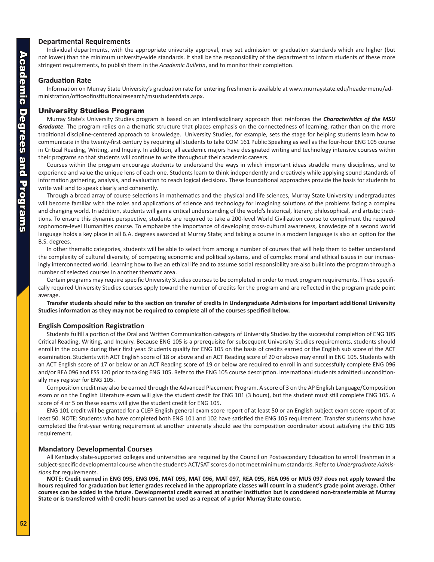#### <span id="page-5-0"></span>**Departmental Requirements**

Individual departments, with the appropriate university approval, may set admission or graduation standards which are higher (but not lower) than the minimum university-wide standards. It shall be the responsibility of the department to inform students of these more stringent requirements, to publish them in the *Academic Bulletin*, and to monitor their completion.

#### **Graduation Rate**

Information on Murray State University's graduation rate for entering freshmen is available at www.murraystate.edu/headermenu/administration/officeofinstitutionalresearch/msustudentdata.aspx.

#### University Studies Program

Murray State's University Studies program is based on an interdisciplinary approach that reinforces the *Characteristics of the MSU Graduate*. The program relies on a thematic structure that places emphasis on the connectedness of learning, rather than on the more traditional discipline-centered approach to knowledge. University Studies, for example, sets the stage for helping students learn how to communicate in the twenty-first century by requiring all students to take COM 161 Public Speaking as well as the four-hour ENG 105 course in Critical Reading, Writing, and Inquiry. In addition, all academic majors have designated writing and technology intensive courses within their programs so that students will continue to write throughout their academic careers.

Courses within the program encourage students to understand the ways in which important ideas straddle many disciplines, and to experience and value the unique lens of each one. Students learn to think independently and creatively while applying sound standards of information gathering, analysis, and evaluation to reach logical decisions. These foundational approaches provide the basis for students to write well and to speak clearly and coherently.

Through a broad array of course selections in mathematics and the physical and life sciences, Murray State University undergraduates will become familiar with the roles and applications of science and technology for imagining solutions of the problems facing a complex and changing world. In addition, students will gain a critical understanding of the world's historical, literary, philosophical, and artistic traditions. To ensure this dynamic perspective, students are required to take a 200-level World Civilization course to compliment the required sophomore-level Humanities course. To emphasize the importance of developing cross-cultural awareness, knowledge of a second world language holds a key place in all B.A. degrees awarded at Murray State; and taking a course in a modern language is also an option for the B.S. degrees.

In other thematic categories, students will be able to select from among a number of courses that will help them to better understand the complexity of cultural diversity, of competing economic and political systems, and of complex moral and ethical issues in our increasingly interconnected world. Learning how to live an ethical life and to assume social responsibility are also built into the program through a number of selected courses in another thematic area.

Certain programs may require specific University Studies courses to be completed in order to meet program requirements. These specifically required University Studies courses apply toward the number of credits for the program and are reflected in the program grade point average.

**Transfer students should refer to the section on transfer of credits in Undergraduate Admissions for important additional University Studies information as they may not be required to complete all of the courses specified below.**

#### **English Composition Registration**

Students fulfill a portion of the Oral and Written Communication category of University Studies by the successful completion of ENG 105 Critical Reading, Writing, and Inquiry. Because ENG 105 is a prerequisite for subsequent University Studies requirements, students should enroll in the course during their first year. Students qualify for ENG 105 on the basis of credits earned or the English sub score of the ACT examination. Students with ACT English score of 18 or above and an ACT Reading score of 20 or above may enroll in ENG 105. Students with an ACT English score of 17 or below or an ACT Reading score of 19 or below are required to enroll in and successfully complete ENG 096 and/or REA 096 and ESS 120 prior to taking ENG 105. Refer to the ENG 105 course description. International students admitted unconditionally may register for ENG 105.

Composition credit may also be earned through the Advanced Placement Program. A score of 3 on the AP English Language/Composition exam or on the English Literature exam will give the student credit for ENG 101 (3 hours), but the student must still complete ENG 105. A score of 4 or 5 on these exams will give the student credit for ENG 105.

ENG 101 credit will be granted for a CLEP English general exam score report of at least 50 or an English subject exam score report of at least 50. NOTE: Students who have completed both ENG 101 and 102 have satisfied the ENG 105 requirement. Transfer students who have completed the first-year writing requirement at another university should see the composition coordinator about satisfying the ENG 105 requirement.

#### **Mandatory Developmental Courses**

All Kentucky state-supported colleges and universities are required by the Council on Postsecondary Education to enroll freshmen in a subject-specific developmental course when the student's ACT/SAT scores do not meet minimum standards. Refer to *Undergraduate Admissions* for requirements.

**NOTE: Credit earned in ENG 095, ENG 096, MAT 095, MAT 096, MAT 097, REA 095, REA 096 or MUS 097 does not apply toward the hours required for graduation but letter grades received in the appropriate classes will count in a student's grade point average. Other courses can be added in the future. Developmental credit earned at another institution but is considered non-transferrable at Murray State or is transferred with 0 credit hours cannot be used as a repeat of a prior Murray State course.**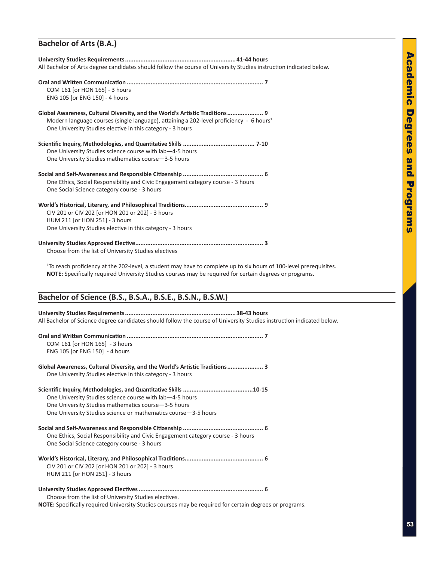# **Academic Degrees** Academic Degrees and Programs and Programs

#### **Bachelor of Arts (B.A.)**

| All Bachelor of Arts degree candidates should follow the course of University Studies instruction indicated below.                                                                                                                               |
|--------------------------------------------------------------------------------------------------------------------------------------------------------------------------------------------------------------------------------------------------|
| COM 161 [or HON 165] - 3 hours<br>ENG 105 [or ENG 150] - 4 hours                                                                                                                                                                                 |
| Global Awareness, Cultural Diversity, and the World's Artistic Traditions 9<br>Modern language courses (single language), attaining a 202-level proficiency - 6 hours <sup>1</sup><br>One University Studies elective in this category - 3 hours |
| One University Studies science course with lab-4-5 hours<br>One University Studies mathematics course-3-5 hours                                                                                                                                  |
| One Ethics, Social Responsibility and Civic Engagement category course - 3 hours<br>One Social Science category course - 3 hours                                                                                                                 |
| CIV 201 or CIV 202 [or HON 201 or 202] - 3 hours<br>HUM 211 [or HON 251] - 3 hours<br>One University Studies elective in this category - 3 hours                                                                                                 |
| Choose from the list of University Studies electives                                                                                                                                                                                             |

1 To reach proficiency at the 202-level, a student may have to complete up to six hours of 100-level prerequisites. **NOTE:** Specifically required University Studies courses may be required for certain degrees or programs.

#### **Bachelor of Science (B.S., B.S.A., B.S.E., B.S.N., B.S.W.)**

#### **University Studies Requirements.................................................................38-43 hours** All Bachelor of Science degree candidates should follow the course of University Studies instruction indicated below.

| COM 161 [or HON 165] - 3 hours<br>ENG 105 [or ENG 150] - 4 hours                                                                                                                    |  |
|-------------------------------------------------------------------------------------------------------------------------------------------------------------------------------------|--|
| Global Awareness, Cultural Diversity, and the World's Artistic Traditions 3<br>One University Studies elective in this category - 3 hours                                           |  |
| One University Studies science course with lab-4-5 hours<br>One University Studies mathematics course -3-5 hours<br>One University Studies science or mathematics course -3-5 hours |  |
| One Ethics, Social Responsibility and Civic Engagement category course - 3 hours<br>One Social Science category course - 3 hours                                                    |  |
| CIV 201 or CIV 202 [or HON 201 or 202] - 3 hours<br>HUM 211 [or HON 251] - 3 hours                                                                                                  |  |
| Choose from the list of University Studies electives.                                                                                                                               |  |

**NOTE:** Specifically required University Studies courses may be required for certain degrees or programs.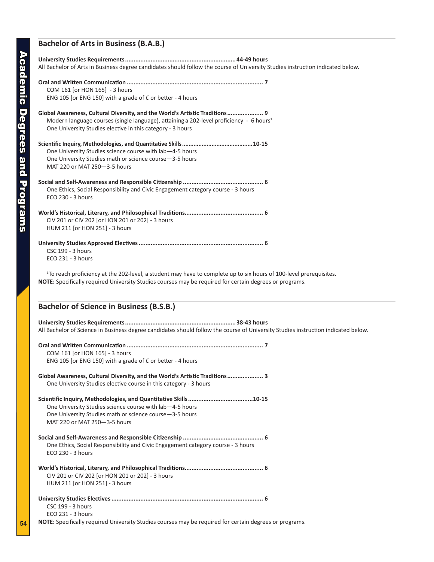#### **Bachelor of Arts in Business (B.A.B.)**

| All Bachelor of Arts in Business degree candidates should follow the course of University Studies instruction indicated below.                                                                                                                   |
|--------------------------------------------------------------------------------------------------------------------------------------------------------------------------------------------------------------------------------------------------|
| COM 161 [or HON 165] - 3 hours<br>ENG 105 [or ENG 150] with a grade of C or better - 4 hours                                                                                                                                                     |
| Global Awareness, Cultural Diversity, and the World's Artistic Traditions 9<br>Modern language courses (single language), attaining a 202-level proficiency - 6 hours <sup>1</sup><br>One University Studies elective in this category - 3 hours |
| One University Studies science course with lab-4-5 hours<br>One University Studies math or science course-3-5 hours<br>MAT 220 or MAT 250-3-5 hours                                                                                              |
| One Ethics, Social Responsibility and Civic Engagement category course - 3 hours<br>ECO 230 - 3 hours                                                                                                                                            |
| CIV 201 or CIV 202 [or HON 201 or 202] - 3 hours<br>HUM 211 [or HON 251] - 3 hours                                                                                                                                                               |
| <b>CSC 199 - 3 hours</b><br>ECO 231 - 3 hours                                                                                                                                                                                                    |
| <sup>1</sup> To reach proficiency at the 202-level, a student may have to complete up to six hours of 100-level prerequisites.<br>NOTE: Specifically required University Studies courses may be required for certain degrees or programs.        |
| <b>Bachelor of Science in Business (B.S.B.)</b>                                                                                                                                                                                                  |
| All Bachelor of Science in Business degree candidates should follow the course of University Studies instruction indicated below.                                                                                                                |
| COM 161 [or HON 165] - 3 hours<br>ENG 105 [or ENG 150] with a grade of C or better - 4 hours                                                                                                                                                     |
| Global Awareness, Cultural Diversity, and the World's Artistic Traditions 3<br>One University Studies elective course in this category - 3 hours                                                                                                 |
| One University Studies science course with lab-4-5 hours<br>One University Studies math or science course-3-5 hours<br>MAT 220 or MAT 250-3-5 hours                                                                                              |
| One Ethics, Social Responsibility and Civic Engagement category course - 3 hours<br>ECO 230 - 3 hours                                                                                                                                            |
|                                                                                                                                                                                                                                                  |

CIV 201 or CIV 202 [or HON 201 or 202] - 3 hours HUM 211 [or HON 251] - 3 hours

**University Studies Electives......................................................................................... 6** CSC 199 - 3 hours

ECO 231 - 3 hours

**NOTE:** Specifically required University Studies courses may be required for certain degrees or programs.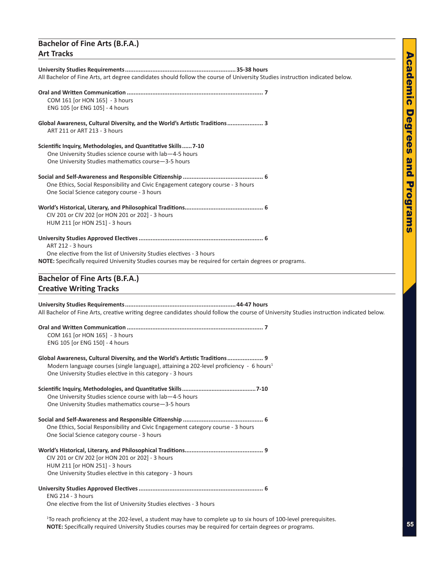#### **Bachelor of Fine Arts (B.F.A.) Art Tracks**

| All Bachelor of Fine Arts, art degree candidates should follow the course of University Studies instruction indicated below.                                                                                                                     |
|--------------------------------------------------------------------------------------------------------------------------------------------------------------------------------------------------------------------------------------------------|
| COM 161 [or HON 165] - 3 hours<br>ENG 105 [or ENG 105] - 4 hours                                                                                                                                                                                 |
| Global Awareness, Cultural Diversity, and the World's Artistic Traditions 3<br>ART 211 or ART 213 - 3 hours                                                                                                                                      |
| Scientific Inquiry, Methodologies, and Quantitative Skills7-10<br>One University Studies science course with lab-4-5 hours<br>One University Studies mathematics course-3-5 hours                                                                |
| One Ethics, Social Responsibility and Civic Engagement category course - 3 hours<br>One Social Science category course - 3 hours                                                                                                                 |
| CIV 201 or CIV 202 [or HON 201 or 202] - 3 hours<br>HUM 211 [or HON 251] - 3 hours                                                                                                                                                               |
| <b>ART 212 - 3 hours</b><br>One elective from the list of University Studies electives - 3 hours<br>NOTE: Specifically required University Studies courses may be required for certain degrees or programs.                                      |
| <b>Bachelor of Fine Arts (B.F.A.)</b>                                                                                                                                                                                                            |
| <b>Creative Writing Tracks</b>                                                                                                                                                                                                                   |
| All Bachelor of Fine Arts, creative writing degree candidates should follow the course of University Studies instruction indicated below.                                                                                                        |
| COM 161 [or HON 165] - 3 hours<br>ENG 105 [or ENG 150] - 4 hours                                                                                                                                                                                 |
| Global Awareness, Cultural Diversity, and the World's Artistic Traditions 9<br>Modern language courses (single language), attaining a 202-level proficiency - 6 hours <sup>1</sup><br>One University Studies elective in this category - 3 hours |
|                                                                                                                                                                                                                                                  |
| One University Studies science course with lab-4-5 hours<br>One University Studies mathematics course-3-5 hours                                                                                                                                  |
| One Ethics, Social Responsibility and Civic Engagement category course - 3 hours<br>One Social Science category course - 3 hours                                                                                                                 |
| CIV 201 or CIV 202 [or HON 201 or 202] - 3 hours<br>HUM 211 [or HON 251] - 3 hours<br>One University Studies elective in this category - 3 hours                                                                                                 |

One elective from the list of University Studies electives - 3 hours

1 To reach proficiency at the 202-level, a student may have to complete up to six hours of 100-level prerequisites. **NOTE:** Specifically required University Studies courses may be required for certain degrees or programs.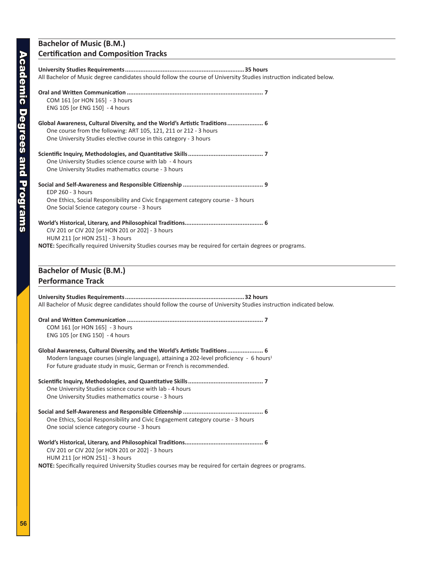#### **Bachelor of Music (B.M.) Certification and Composition Tracks**

| All Bachelor of Music degree candidates should follow the course of University Studies instruction indicated below.                                                                                                                                        |
|------------------------------------------------------------------------------------------------------------------------------------------------------------------------------------------------------------------------------------------------------------|
| COM 161 [or HON 165] - 3 hours<br>ENG 105 [or ENG 150] - 4 hours                                                                                                                                                                                           |
| Global Awareness, Cultural Diversity, and the World's Artistic Traditions 6<br>One course from the following: ART 105, 121, 211 or 212 - 3 hours<br>One University Studies elective course in this category - 3 hours                                      |
| One University Studies science course with lab - 4 hours<br>One University Studies mathematics course - 3 hours                                                                                                                                            |
| EDP 260 - 3 hours<br>One Ethics, Social Responsibility and Civic Engagement category course - 3 hours<br>One Social Science category course - 3 hours                                                                                                      |
| CIV 201 or CIV 202 [or HON 201 or 202] - 3 hours<br>HUM 211 [or HON 251] - 3 hours<br>NOTE: Specifically required University Studies courses may be required for certain degrees or programs.                                                              |
| <b>Bachelor of Music (B.M.)</b>                                                                                                                                                                                                                            |
| <b>Performance Track</b>                                                                                                                                                                                                                                   |
| All Bachelor of Music degree candidates should follow the course of University Studies instruction indicated below.                                                                                                                                        |
| COM 161 [or HON 165] - 3 hours<br>ENG 105 [or ENG 150] - 4 hours                                                                                                                                                                                           |
| Global Awareness, Cultural Diversity, and the World's Artistic Traditions 6<br>Modern language courses (single language), attaining a 202-level proficiency - 6 hours <sup>1</sup><br>For future graduate study in music, German or French is recommended. |
| One University Studies science course with lab - 4 hours<br>One University Studies mathematics course - 3 hours                                                                                                                                            |
| One Ethics, Social Responsibility and Civic Engagement category course - 3 hours<br>One social science category course - 3 hours                                                                                                                           |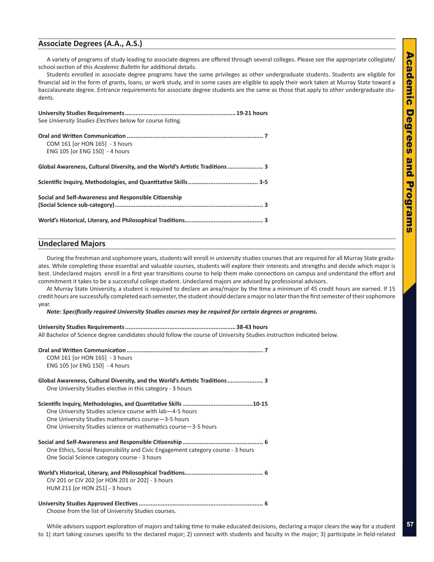## Academic Degrees and Programs **Academic Degrees** pue **Programs**

#### **Associate Degrees (A.A., A.S.)**

A variety of programs of study leading to associate degrees are offered through several colleges. Please see the appropriate collegiate/ school section of this *Academic Bulletin* for additional details.

Students enrolled in associate degree programs have the same privileges as other undergraduate students. Students are eligible for financial aid in the form of grants, loans, or work study, and in some cases are eligible to apply their work taken at Murray State toward a baccalaureate degree. Entrance requirements for associate degree students are the same as those that apply to other undergraduate students.

| See University Studies Electives below for course listing.                  |
|-----------------------------------------------------------------------------|
| COM 161 [or HON 165] - 3 hours<br>ENG 105 [or ENG 150] - 4 hours            |
| Global Awareness, Cultural Diversity, and the World's Artistic Traditions 3 |
|                                                                             |
| Social and Self-Awareness and Responsible Citizenship                       |
|                                                                             |

#### **Undeclared Majors**

During the freshman and sophomore years, students will enroll in university studies courses that are required for all Murray State graduates. While completing these essential and valuable courses, students will explore their interests and strengths and decide which major is best. Undeclared majors enroll in a first year transitions course to help them make connections on campus and understand the effort and commitment it takes to be a successful college student. Undeclared majors are advised by professional advisors.

At Murray State University, a student is required to declare an area/major by the time a minimum of 45 credit hours are earned. If 15 credit hours are successfully completed each semester, the student should declare a major no later than the first semester of their sophomore year.

*Note: Specifically required University Studies courses may be required for certain degrees or programs.*

| All Bachelor of Science degree candidates should follow the course of University Studies instruction indicated below.                                                              |
|------------------------------------------------------------------------------------------------------------------------------------------------------------------------------------|
| COM 161 [or HON 165] - 3 hours<br>ENG 105 [or ENG 150] - 4 hours                                                                                                                   |
| Global Awareness, Cultural Diversity, and the World's Artistic Traditions 3<br>One University Studies elective in this category - 3 hours                                          |
| One University Studies science course with lab-4-5 hours<br>One University Studies mathematics course-3-5 hours<br>One University Studies science or mathematics course -3-5 hours |
| One Ethics, Social Responsibility and Civic Engagement category course - 3 hours<br>One Social Science category course - 3 hours                                                   |
| CIV 201 or CIV 202 [or HON 201 or 202] - 3 hours<br>HUM 211 [or HON 251] - 3 hours                                                                                                 |
| Choose from the list of University Studies courses.                                                                                                                                |

While advisors support exploration of majors and taking time to make educated decisions, declaring a major clears the way for a student to 1) start taking courses specific to the declared major; 2) connect with students and faculty in the major; 3) participate in field-related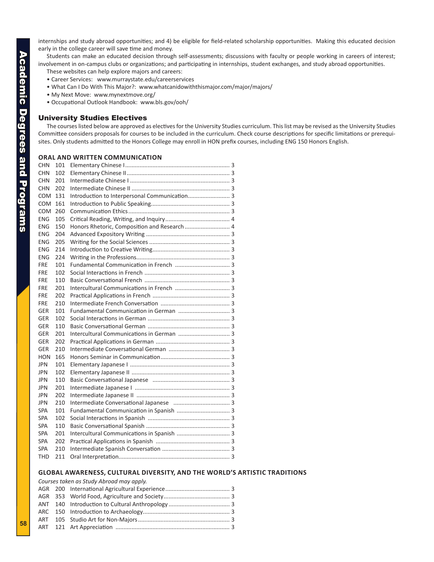<span id="page-11-0"></span>internships and study abroad opportunities; and 4) be eligible for field-related scholarship opportunities. Making this educated decision early in the college career will save time and money.

Students can make an educated decision through self-assessments; discussions with faculty or people working in careers of interest; involvement in on-campus clubs or organizations; and participating in internships, student exchanges, and study abroad opportunities.

These websites can help explore majors and careers:

- Career Services: www.murraystate.edu/careerservices
- What Can I Do With This Major?: www.whatcanidowiththismajor.com/major/majors/
- My Next Move: www.mynextmove.org/
- Occupational Outlook Handbook: www.bls.gov/ooh/

#### University Studies Electives

The courses listed below are approved as electives for the University Studies curriculum. This list may be revised as the University Studies Committee considers proposals for courses to be included in the curriculum. Check course descriptions for specific limitations or prerequisites. Only students admitted to the Honors College may enroll in HON prefix courses, including ENG 150 Honors English.

#### **Oral and Written Communication**

| <b>CHN</b> | 101 |                                               |
|------------|-----|-----------------------------------------------|
| <b>CHN</b> | 102 |                                               |
| <b>CHN</b> | 201 |                                               |
| <b>CHN</b> | 202 |                                               |
| COM        | 131 | Introduction to Interpersonal Communication 3 |
| <b>COM</b> | 161 |                                               |
| <b>COM</b> | 260 |                                               |
| <b>ENG</b> | 105 |                                               |
| <b>ENG</b> | 150 | Honors Rhetoric, Composition and Research  4  |
| ENG        | 204 |                                               |
| ENG        | 205 |                                               |
| ENG        | 214 |                                               |
| <b>ENG</b> | 224 |                                               |
| <b>FRE</b> | 101 |                                               |
| <b>FRE</b> | 102 |                                               |
| <b>FRE</b> | 110 |                                               |
| <b>FRE</b> | 201 |                                               |
| <b>FRE</b> | 202 |                                               |
| FRE        | 210 |                                               |
| <b>GER</b> | 101 |                                               |
| <b>GER</b> | 102 |                                               |
| <b>GER</b> | 110 |                                               |
| <b>GER</b> | 201 |                                               |
| <b>GER</b> | 202 |                                               |
| <b>GER</b> | 210 |                                               |
| <b>HON</b> | 165 |                                               |
| <b>JPN</b> | 101 |                                               |
| JPN        | 102 |                                               |
| JPN        | 110 |                                               |
| JPN        | 201 |                                               |
| JPN        | 202 |                                               |
| JPN        | 210 |                                               |
| <b>SPA</b> | 101 |                                               |
| SPA        | 102 |                                               |
| SPA        | 110 |                                               |
| SPA        | 201 |                                               |
| SPA        | 202 |                                               |
| SPA        | 210 |                                               |
| THD        | 211 |                                               |

#### **Global Awareness, Cultural Diversity, and the World's Artistic Traditions**

|  | Courses taken as Study Abroad may apply. |  |
|--|------------------------------------------|--|
|  |                                          |  |
|  |                                          |  |
|  |                                          |  |
|  |                                          |  |
|  |                                          |  |
|  |                                          |  |
|  |                                          |  |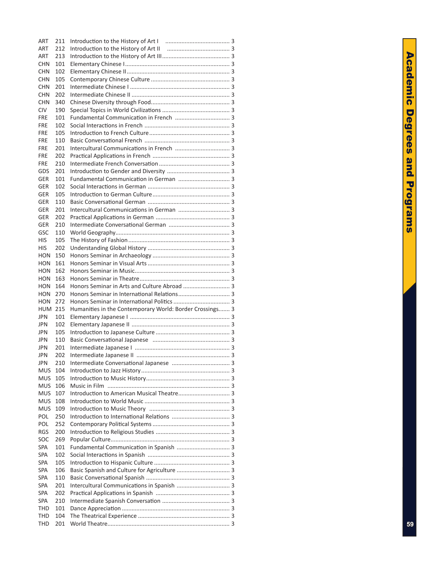| <b>ART</b>               | 211        |                                                          |
|--------------------------|------------|----------------------------------------------------------|
| <b>ART</b>               | 212        |                                                          |
| ART                      | 213        |                                                          |
| CHN                      | 101        |                                                          |
| CHN                      | 102        |                                                          |
| <b>CHN</b>               | 105        |                                                          |
| <b>CHN</b>               | 201        |                                                          |
| CHN                      | 202        |                                                          |
| CHN                      | 340        |                                                          |
| <b>CIV</b>               | 190        |                                                          |
| <b>FRE</b><br><b>FRE</b> | 101<br>102 |                                                          |
| <b>FRE</b>               | 105        |                                                          |
| <b>FRE</b>               | 110        |                                                          |
| <b>FRE</b>               | 201        |                                                          |
| <b>FRE</b>               | 202        |                                                          |
| <b>FRE</b>               | 210        |                                                          |
| GDS                      | 201        |                                                          |
| GER                      | 101        | Fundamental Communication in German  3                   |
| GER                      | 102        |                                                          |
| <b>GER</b>               | 105        |                                                          |
| GER                      | 110        |                                                          |
| GER                      | 201        |                                                          |
| GER                      | 202        |                                                          |
| GER                      | 210        |                                                          |
| GSC                      | 110        |                                                          |
| HIS                      | 105        |                                                          |
| <b>HIS</b>               | 202        |                                                          |
| HON                      | 150        |                                                          |
| <b>HON</b>               | 161        |                                                          |
| <b>HON</b>               | 162        |                                                          |
| <b>HON</b>               | 163        |                                                          |
| <b>HON</b>               | 164        | Honors Seminar in Arts and Culture Abroad  3             |
| HON                      | 270        |                                                          |
| HON                      | 272        |                                                          |
| <b>HUM 215</b>           |            | Humanities in the Contemporary World: Border Crossings 3 |
| <b>JPN</b>               | 101        |                                                          |
| <b>JPN</b><br><b>JPN</b> | 102<br>105 |                                                          |
| JPN                      | 110        |                                                          |
| <b>JPN</b>               | 201        |                                                          |
| <b>JPN</b>               | 202        |                                                          |
| <b>JPN</b>               | 210        |                                                          |
| MUS                      | 104        |                                                          |
| MUS                      | 105        |                                                          |
| <b>MUS</b>               | 106        |                                                          |
| <b>MUS</b>               | 107        |                                                          |
| <b>MUS</b>               | 108        |                                                          |
| <b>MUS</b>               | 109        |                                                          |
| POL                      | 250        |                                                          |
| POL                      | 252        |                                                          |
| <b>RGS</b>               | 200        |                                                          |
| SOC                      | 269        |                                                          |
| SPA                      | 101        |                                                          |
| SPA                      | 102        |                                                          |
| SPA                      | 105        |                                                          |
| SPA                      | 106        |                                                          |
| SPA                      | 110        |                                                          |
| SPA                      | 201        |                                                          |
| SPA                      | 202        |                                                          |
| SPA                      | 210        |                                                          |
| THD<br>THD               | 101<br>104 |                                                          |
|                          |            |                                                          |
| THD                      | 201        |                                                          |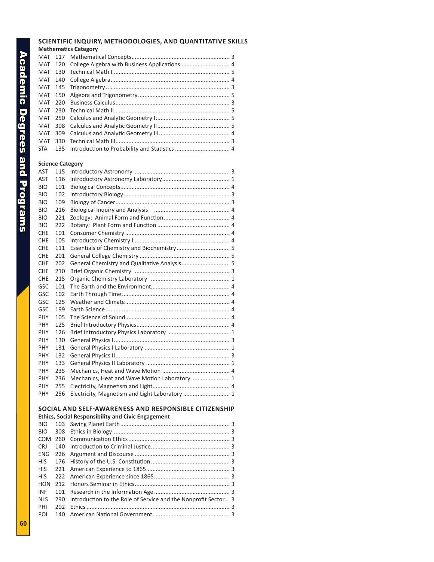#### **Mathematics Category** MAT 117 Mathematical Concepts............................................................. 3 MAT 120 College Algebra with Business Applications .............................. MAT 130 Technical Math I......................................................................... 5 MAT 140 College Algebra.......................................................................... 4 MAT 145 Trigonometry ............................................................................. 3 MAT 150 Algebra and Trigonometry......................................................... 5 MAT 220 Business Calculus....................................................................... 3 MAT 230 Technical Math II........................................................................ 5 MAT 250 Calculus and Analytic Geometry I.............................................. 5 MAT 308 Calculus and Analytic Geometry II............................................. 5 MAT 309 Calculus and Analytic Geometry III............................................ 4 MAT 330 Technical Math III....................................................................... 3 STA 135 Introduction to Probability and Statistics.................................. 4 **Science Category**  AST 115 Introductory Astronomy ............................................................ 3 AST 116 Introductory Astronomy Laboratory.......................................... 1 BIO 101 Biological Concepts.................................................................... 4 BIO 102 Introductory Biology.................................................................. 3 BIO 109 Biology of Cancer....................................................................... 3 BIO 216 Biological Inquiry and Analysis ............................................... 4 BIO 221 Zoology: Animal Form and Function......................................... 4 BIO 222 Botany: Plant Form and Function ............................................. 4 CHE 101 Consumer Chemistry ................................................................. 4 CHE 105 Introductory Chemistry I............................................................ 4 CHE 111 Essentials of Chemistry and Biochemistry................................. CHE 201 General College Chemistry ........................................................ 5 CHE 202 General Chemistry and Qualitative Analysis.............................5 CHE 210 Brief Organic Chemistry ........................................................... 3 CHE 215 Organic Chemistry Laboratory ................................................. 1 GSC 101 The Earth and the Environment................................................. 4 GSC 102 Earth Through Time................................................................... 4 GSC 125 Weather and Climate................................................................. 4 GSC 199 Earth Science ............................................................................. 4 PHY 105 The Science of Sound................................................................. 4 PHY 125 Brief Introductory Physics.......................................................... 4 PHY 126 Brief Introductory Physics Laboratory ...................................... 1 PHY 130 General Physics I........................................................................ 3 PHY 131 General Physics I Laboratory ..................................................... 1 PHY 132 General Physics II....................................................................... 3 PHY 133 General Physics II Laboratory .................................................... 1 PHY 235 Mechanics, Heat and Wave Motion .......................................... 4 PHY 236 Mechanics, Heat and Wave Motion Laboratory....................... 1

**Scientific Inquiry, Methodologies, and Quantitative Skills**

#### **SOCIAL AND SELF-AWARENESS AND RESPONSIBLE CITIZE**

PHY 255 Electricity, Magnetism and Light................................................ 4 PHY 256 Electricity, Magnetism and Light Laboratory .............................

**Ethics, Social Responsibility and Civic Engagement**

| <b>BIO</b> |     |                                                                    |  |
|------------|-----|--------------------------------------------------------------------|--|
| BIO.       |     |                                                                    |  |
| COM        |     |                                                                    |  |
| <b>CRJ</b> |     |                                                                    |  |
| ENG        |     |                                                                    |  |
| HIS.       |     |                                                                    |  |
| HIS.       |     |                                                                    |  |
| <b>HIS</b> |     |                                                                    |  |
| <b>HON</b> |     |                                                                    |  |
| INF        |     |                                                                    |  |
| NLS.       |     | 290 Introduction to the Role of Service and the Nonprofit Sector 3 |  |
| PHI        | 202 |                                                                    |  |
| POL        |     |                                                                    |  |
|            |     |                                                                    |  |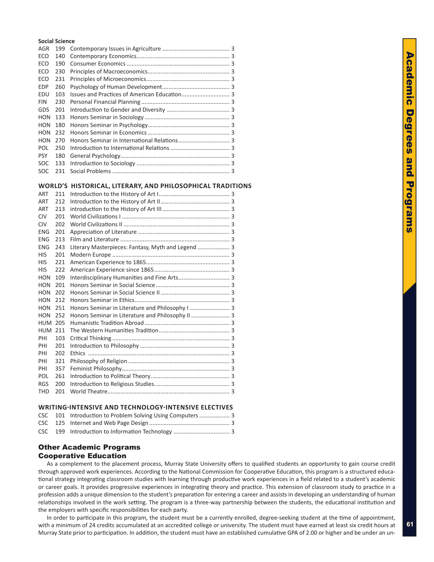#### <span id="page-14-0"></span>**Social Science**

| <b>AGR</b> | 199 |  |
|------------|-----|--|
| ECO        | 140 |  |
| ECO        | 190 |  |
| ECO        | 230 |  |
| ECO        | 231 |  |
| <b>EDP</b> | 260 |  |
| EDU        | 103 |  |
| <b>FIN</b> | 230 |  |
| <b>GDS</b> | 201 |  |
| <b>HON</b> | 133 |  |
| <b>HON</b> | 180 |  |
| HON        | 232 |  |
| HON        | 270 |  |
| POL.       | 250 |  |
| <b>PSY</b> | 180 |  |
| <b>SOC</b> | 133 |  |
| <b>SOC</b> | 231 |  |

#### **World's Historical, Literary, and Philosophical Traditions**

| <b>ART</b> | 211 |                                                    |  |
|------------|-----|----------------------------------------------------|--|
| <b>ART</b> | 212 |                                                    |  |
| ART        | 213 |                                                    |  |
| <b>CIV</b> | 201 |                                                    |  |
| <b>CIV</b> | 202 |                                                    |  |
| ENG        | 201 |                                                    |  |
| ENG        | 213 |                                                    |  |
| ENG        | 243 | Literary Masterpieces: Fantasy, Myth and Legend  3 |  |
| HIS        | 201 |                                                    |  |
| HIS        | 221 |                                                    |  |
| HIS        | 222 |                                                    |  |
| <b>HON</b> | 109 | Interdisciplinary Humanities and Fine Arts 3       |  |
| <b>HON</b> | 201 |                                                    |  |
| HON        | 202 |                                                    |  |
| HON        | 212 |                                                    |  |
| <b>HON</b> | 251 | Honors Seminar in Literature and Philosophy I  3   |  |
| <b>HON</b> | 252 | Honors Seminar in Literature and Philosophy II  3  |  |
| HUM        | 205 |                                                    |  |
| HUM        | 211 |                                                    |  |
| PHI        | 103 |                                                    |  |
| PHI        | 201 |                                                    |  |
| PHI        | 202 |                                                    |  |
| PHI        | 321 |                                                    |  |
| PHI        | 357 |                                                    |  |
| POL        | 261 |                                                    |  |
| <b>RGS</b> | 200 |                                                    |  |
| <b>THD</b> | 201 |                                                    |  |
|            |     |                                                    |  |

#### **Writing-Intensive and Technology-Intensive Electives**

|  | CSC 101 Introduction to Problem Solving Using Computers  3 |  |
|--|------------------------------------------------------------|--|
|  |                                                            |  |
|  |                                                            |  |

#### Other Academic Programs Cooperative Education

As a complement to the placement process, Murray State University offers to qualified students an opportunity to gain course credit through approved work experiences. According to the National Commission for Cooperative Education, this program is a structured educational strategy integrating classroom studies with learning through productive work experiences in a field related to a student's academic or career goals. It provides progressive experiences in integrating theory and practice. This extension of classroom study to practice in a profession adds a unique dimension to the student's preparation for entering a career and assists in developing an understanding of human relationships involved in the work setting. The program is a three-way partnership between the students, the educational institution and the employers with specific responsibilities for each party.

In order to participate in this program, the student must be a currently enrolled, degree-seeking student at the time of appointment, with a minimum of 24 credits accumulated at an accredited college or university. The student must have earned at least six credit hours at Murray State prior to participation. In addition, the student must have an established cumulative GPA of 2.00 or higher and be under an un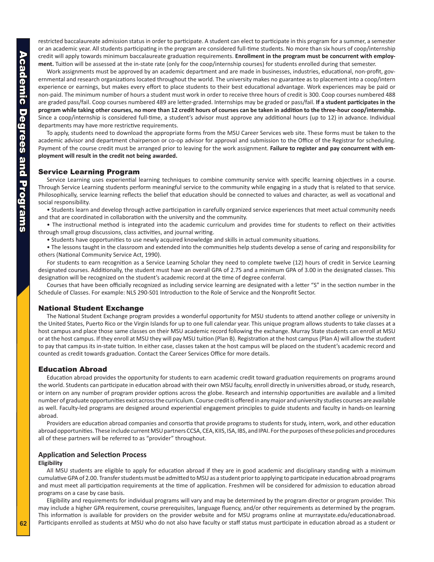<span id="page-15-0"></span>restricted baccalaureate admission status in order to participate. A student can elect to participate in this program for a summer, a semester or an academic year. All students participating in the program are considered full-time students. No more than six hours of coop/internship credit will apply towards minimum baccalaureate graduation requirements. **Enrollment in the program must be concurrent with employment.** Tuition will be assessed at the in-state rate (only for the coop/internship courses) for students enrolled during that semester.

Work assignments must be approved by an academic department and are made in businesses, industries, educational, non-profit, governmental and research organizations located throughout the world. The university makes no guarantee as to placement into a coop/intern experience or earnings, but makes every effort to place students to their best educational advantage. Work experiences may be paid or non-paid. The minimum number of hours a student must work in order to receive three hours of credit is 300. Coop courses numbered 488 are graded pass/fail. Coop courses numbered 489 are letter-graded. Internships may be graded or pass/fail. **If a student participates in the program while taking other courses, no more than 12 credit hours of courses can be taken in addition to the three-hour coop/internship.** Since a coop/internship is considered full-time, a student's advisor must approve any additional hours (up to 12) in advance. Individual departments may have more restrictive requirements.

To apply, students need to download the appropriate forms from the MSU Career Services web site. These forms must be taken to the academic advisor and department chairperson or co-op advisor for approval and submission to the Office of the Registrar for scheduling. Payment of the course credit must be arranged prior to leaving for the work assignment. **Failure to register and pay concurrent with employment will result in the credit not being awarded.**

#### Service Learning Program

Service Learning uses experiential learning techniques to combine community service with specific learning objectives in a course. Through Service Learning students perform meaningful service to the community while engaging in a study that is related to that service. Philosophically, service learning reflects the belief that education should be connected to values and character, as well as vocational and social responsibility.

• Students learn and develop through active participation in carefully organized service experiences that meet actual community needs and that are coordinated in collaboration with the university and the community.

• The instructional method is integrated into the academic curriculum and provides time for students to reflect on their activities through small group discussions, class activities, and journal writing.

• Students have opportunities to use newly acquired knowledge and skills in actual community situations.

• The lessons taught in the classroom and extended into the communities help students develop a sense of caring and responsibility for others (National Community Service Act, 1990).

For students to earn recognition as a Service Learning Scholar they need to complete twelve (12) hours of credit in Service Learning designated courses. Additionally, the student must have an overall GPA of 2.75 and a minimum GPA of 3.00 in the designated classes. This designation will be recognized on the student's academic record at the time of degree conferral.

Courses that have been officially recognized as including service learning are designated with a letter "S" in the section number in the Schedule of Classes. For example: NLS 290-S01 Introduction to the Role of Service and the Nonprofit Sector.

#### National Student Exchange

The National Student Exchange program provides a wonderful opportunity for MSU students to attend another college or university in the United States, Puerto Rico or the Virgin Islands for up to one full calendar year. This unique program allows students to take classes at a host campus and place those same classes on their MSU academic record following the exchange. Murray State students can enroll at MSU or at the host campus. If they enroll at MSU they will pay MSU tuition (Plan B). Registration at the host campus (Plan A) will allow the student to pay that campus its in-state tuition. In either case, classes taken at the host campus will be placed on the student's academic record and counted as credit towards graduation. Contact the Career Services Office for more details.

#### Education Abroad

Education abroad provides the opportunity for students to earn academic credit toward graduation requirements on programs around the world. Students can participate in education abroad with their own MSU faculty, enroll directly in universities abroad, or study, research, or intern on any number of program provider options across the globe. Research and internship opportunities are available and a limited number of graduate opportunities exist across the curriculum. Course credit is offered in any major and university studies courses are available as well. Faculty-led programs are designed around experiential engagement principles to guide students and faculty in hands-on learning abroad.

Providers are education abroad companies and consortia that provide programs to students for study, intern, work, and other education abroad opportunities. These include current MSU partners CCSA, CEA, KIIS, ISA, IBS, and IPAI. For the purposes of these policies and procedures all of these partners will be referred to as "provider" throughout.

#### **Application and Selection Process**

#### **Eligibility**

All MSU students are eligible to apply for education abroad if they are in good academic and disciplinary standing with a minimum cumulative GPA of 2.00. Transfer students must be admitted to MSU as a student prior to applying to participate in education abroad programs and must meet all participation requirements at the time of application. Freshmen will be considered for admission to education abroad programs on a case by case basis.

Eligibility and requirements for individual programs will vary and may be determined by the program director or program provider. This may include a higher GPA requirement, course prerequisites, language fluency, and/or other requirements as determined by the program. This information is available for providers on the provider website and for MSU programs online at murraystate.edu/educationabroad. Participants enrolled as students at MSU who do not also have faculty or staff status must participate in education abroad as a student or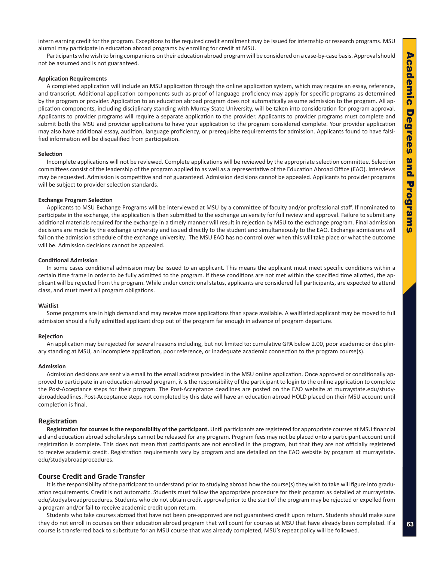intern earning credit for the program. Exceptions to the required credit enrollment may be issued for internship or research programs. MSU alumni may participate in education abroad programs by enrolling for credit at MSU.

Participants who wish to bring companions on their education abroad program will be considered on a case-by-case basis. Approval should not be assumed and is not guaranteed.

#### **Application Requirements**

A completed application will include an MSU application through the online application system, which may require an essay, reference, and transcript. Additional application components such as proof of language proficiency may apply for specific programs as determined by the program or provider. Application to an education abroad program does not automatically assume admission to the program. All application components, including disciplinary standing with Murray State University, will be taken into consideration for program approval. Applicants to provider programs will require a separate application to the provider. Applicants to provider programs must complete and submit both the MSU and provider applications to have your application to the program considered complete. Your provider application may also have additional essay, audition, language proficiency, or prerequisite requirements for admission. Applicants found to have falsified information will be disqualified from participation.

#### **Selection**

Incomplete applications will not be reviewed. Complete applications will be reviewed by the appropriate selection committee. Selection committees consist of the leadership of the program applied to as well as a representative of the Education Abroad Office (EAO). Interviews may be requested. Admission is competitive and not guaranteed. Admission decisions cannot be appealed. Applicants to provider programs will be subject to provider selection standards.

#### **Exchange Program Selection**

Applicants to MSU Exchange Programs will be interviewed at MSU by a committee of faculty and/or professional staff. If nominated to participate in the exchange, the application is then submitted to the exchange university for full review and approval. Failure to submit any additional materials required for the exchange in a timely manner will result in rejection by MSU to the exchange program. Final admission decisions are made by the exchange university and issued directly to the student and simultaneously to the EAO. Exchange admissions will fall on the admission schedule of the exchange university. The MSU EAO has no control over when this will take place or what the outcome will be. Admission decisions cannot be appealed.

#### **Conditional Admission**

In some cases conditional admission may be issued to an applicant. This means the applicant must meet specific conditions within a certain time frame in order to be fully admitted to the program. If these conditions are not met within the specified time allotted, the applicant will be rejected from the program. While under conditional status, applicants are considered full participants, are expected to attend class, and must meet all program obligations.

#### **Waitlist**

Some programs are in high demand and may receive more applications than space available. A waitlisted applicant may be moved to full admission should a fully admitted applicant drop out of the program far enough in advance of program departure.

#### **Rejection**

An application may be rejected for several reasons including, but not limited to: cumulative GPA below 2.00, poor academic or disciplinary standing at MSU, an incomplete application, poor reference, or inadequate academic connection to the program course(s).

#### **Admission**

Admission decisions are sent via email to the email address provided in the MSU online application. Once approved or conditionally approved to participate in an education abroad program, it is the responsibility of the participant to login to the online application to complete the Post-Acceptance steps for their program. The Post-Acceptance deadlines are posted on the EAO website at murraystate.edu/studyabroaddeadlines. Post-Acceptance steps not completed by this date will have an education abroad HOLD placed on their MSU account until completion is final.

#### **Registration**

**Registration for courses is the responsibility of the participant.** Until participants are registered for appropriate courses at MSU financial aid and education abroad scholarships cannot be released for any program. Program fees may not be placed onto a participant account until registration is complete. This does not mean that participants are not enrolled in the program, but that they are not officially registered to receive academic credit. Registration requirements vary by program and are detailed on the EAO website by program at murraystate. edu/studyabroadprocedures.

#### **Course Credit and Grade Transfer**

It is the responsibility of the participant to understand prior to studying abroad how the course(s) they wish to take will figure into graduation requirements. Credit is not automatic. Students must follow the appropriate procedure for their program as detailed at murraystate. edu/studyabroadprocedures. Students who do not obtain credit approval prior to the start of the program may be rejected or expelled from a program and/or fail to receive academic credit upon return.

Students who take courses abroad that have not been pre-approved are not guaranteed credit upon return. Students should make sure they do not enroll in courses on their education abroad program that will count for courses at MSU that have already been completed. If a course is transferred back to substitute for an MSU course that was already completed, MSU's repeat policy will be followed.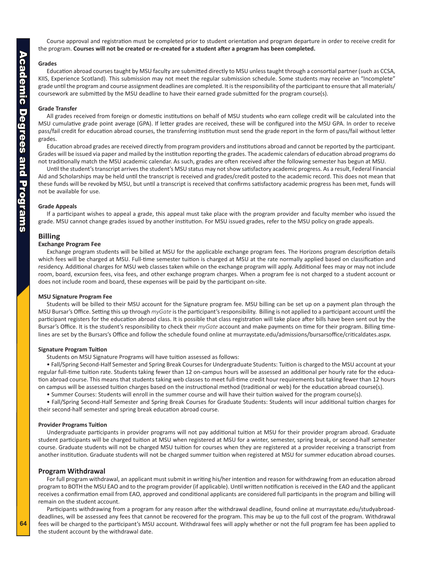Course approval and registration must be completed prior to student orientation and program departure in order to receive credit for the program. **Courses will not be created or re-created for a student after a program has been completed.**

#### **Grades**

Education abroad courses taught by MSU faculty are submitted directly to MSU unless taught through a consortial partner (such as CCSA, KIIS, Experience Scotland). This submission may not meet the regular submission schedule. Some students may receive an "Incomplete" grade until the program and course assignment deadlines are completed. It is the responsibility of the participant to ensure that all materials/ coursework are submitted by the MSU deadline to have their earned grade submitted for the program course(s).

#### **Grade Transfer**

All grades received from foreign or domestic institutions on behalf of MSU students who earn college credit will be calculated into the MSU cumulative grade point average (GPA). If letter grades are received, these will be configured into the MSU GPA. In order to receive pass/fail credit for education abroad courses, the transferring institution must send the grade report in the form of pass/fail without letter grades.

Education abroad grades are received directly from program providers and institutions abroad and cannot be reported by the participant. Grades will be issued via paper and mailed by the institution reporting the grades. The academic calendars of education abroad programs do not traditionally match the MSU academic calendar. As such, grades are often received after the following semester has begun at MSU.

Until the student's transcript arrives the student's MSU status may not show satisfactory academic progress. As a result, Federal Financial Aid and Scholarships may be held until the transcript is received and grades/credit posted to the academic record. This does not mean that these funds will be revoked by MSU, but until a transcript is received that confirms satisfactory academic progress has been met, funds will not be available for use.

#### **Grade Appeals**

If a participant wishes to appeal a grade, this appeal must take place with the program provider and faculty member who issued the grade. MSU cannot change grades issued by another institution. For MSU issued grades, refer to the MSU policy on grade appeals.

#### **Billing**

#### **Exchange Program Fee**

Exchange program students will be billed at MSU for the applicable exchange program fees. The Horizons program description details which fees will be charged at MSU. Full-time semester tuition is charged at MSU at the rate normally applied based on classification and residency. Additional charges for MSU web classes taken while on the exchange program will apply. Additional fees may or may not include room, board, excursion fees, visa fees, and other exchange program charges. When a program fee is not charged to a student account or does not include room and board, these expenses will be paid by the participant on-site.

#### **MSU Signature Program Fee**

Students will be billed to their MSU account for the Signature program fee. MSU billing can be set up on a payment plan through the MSU Bursar's Office. Setting this up through *myGate* is the participant's responsibility. Billing is not applied to a participant account until the participant registers for the education abroad class. It is possible that class registration will take place after bills have been sent out by the Bursar's Office. It is the student's responsibility to check their *myGate* account and make payments on time for their program. Billing timelines are set by the Bursars's Office and follow the schedule found online at murraystate.edu/admissions/bursarsoffice/criticaldates.aspx.

#### **Signature Program Tuition**

Students on MSU Signature Programs will have tuition assessed as follows:

• Fall/Spring Second-Half Semester and Spring Break Courses for Undergraduate Students: Tuition is charged to the MSU account at your regular full-time tuition rate. Students taking fewer than 12 on-campus hours will be assessed an additional per hourly rate for the education abroad course. This means that students taking web classes to meet full-time credit hour requirements but taking fewer than 12 hours on campus will be assessed tuition charges based on the instructional method (traditional or web) for the education abroad course(s).

• Summer Courses: Students will enroll in the summer course and will have their tuition waived for the program course(s).

• Fall/Spring Second-Half Semester and Spring Break Courses for Graduate Students: Students will incur additional tuition charges for their second-half semester and spring break education abroad course.

#### **Provider Programs Tuition**

Undergraduate participants in provider programs will not pay additional tuition at MSU for their provider program abroad. Graduate student participants will be charged tuition at MSU when registered at MSU for a winter, semester, spring break, or second-half semester course. Graduate students will not be charged MSU tuition for courses when they are registered at a provider receiving a transcript from another institution. Graduate students will not be charged summer tuition when registered at MSU for summer education abroad courses.

#### **Program Withdrawal**

For full program withdrawal, an applicant must submit in writing his/her intention and reason for withdrawing from an education abroad program to BOTH the MSU EAO and to the program provider (if applicable). Until written notification is received in the EAO and the applicant receives a confirmation email from EAO, approved and conditional applicants are considered full participants in the program and billing will remain on the student account.

Participants withdrawing from a program for any reason after the withdrawal deadline, found online at murraystate.edu/studyabroaddeadlines, will be assessed any fees that cannot be recovered for the program. This may be up to the full cost of the program. Withdrawal fees will be charged to the participant's MSU account. Withdrawal fees will apply whether or not the full program fee has been applied to the student account by the withdrawal date.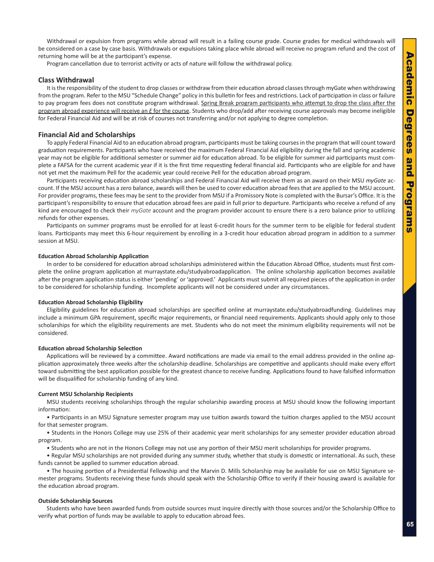Withdrawal or expulsion from programs while abroad will result in a failing course grade. Course grades for medical withdrawals will be considered on a case by case basis. Withdrawals or expulsions taking place while abroad will receive no program refund and the cost of returning home will be at the participant's expense.

Program cancellation due to terrorist activity or acts of nature will follow the withdrawal policy.

#### **Class Withdrawal**

It is the responsibility of the student to drop classes or withdraw from their education abroad classes through myGate when withdrawing from the program. Refer to the MSU "Schedule Change" policy in this bulletin for fees and restrictions. Lack of participation in class or failure to pay program fees does not constitute program withdrawal. Spring Break program participants who attempt to drop the class after the program abroad experience will receive an *E* for the course. Students who drop/add after receiving course approvals may become ineligible for Federal Financial Aid and will be at risk of courses not transferring and/or not applying to degree completion.

#### **Financial Aid and Scholarships**

To apply Federal Financial Aid to an education abroad program, participants must be taking courses in the program that will count toward graduation requirements. Participants who have received the maximum Federal Financial Aid eligibility during the fall and spring academic year may not be eligible for additional semester or summer aid for education abroad. To be eligible for summer aid participants must complete a FAFSA for the current academic year if it is the first time requesting federal financial aid. Participants who are eligible for and have not yet met the maximum Pell for the academic year could receive Pell for the education abroad program.

Participants receiving education abroad scholarships and Federal Financial Aid will receive them as an award on their MSU *myGate* account. If the MSU account has a zero balance, awards will then be used to cover education abroad fees that are applied to the MSU account. For provider programs, these fees may be sent to the provider from MSU if a Promissory Note is completed with the Bursar's Office. It is the participant's responsibility to ensure that education abroad fees are paid in full prior to departure. Participants who receive a refund of any kind are encouraged to check their *myGate* account and the program provider account to ensure there is a zero balance prior to utilizing refunds for other expenses.

Participants on summer programs must be enrolled for at least 6-credit hours for the summer term to be eligible for federal student loans. Participants may meet this 6-hour requirement by enrolling in a 3-credit hour education abroad program in addition to a summer session at MSU.

#### **Education Abroad Scholarship Application**

In order to be considered for education abroad scholarships administered within the Education Abroad Office, students must first complete the online program application at murraystate.edu/studyabroadapplication. The online scholarship application becomes available after the program application status is either 'pending' or 'approved.' Applicants must submit all required pieces of the application in order to be considered for scholarship funding. Incomplete applicants will not be considered under any circumstances.

#### **Education Abroad Scholarship Eligibility**

Eligibility guidelines for education abroad scholarships are specified online at murraystate.edu/studyabroadfunding. Guidelines may include a minimum GPA requirement, specific major requirements, or financial need requirements. Applicants should apply only to those scholarships for which the eligibility requirements are met. Students who do not meet the minimum eligibility requirements will not be considered.

#### **Education abroad Scholarship Selection**

Applications will be reviewed by a committee. Award notifications are made via email to the email address provided in the online application approximately three weeks after the scholarship deadline. Scholarships are competitive and applicants should make every effort toward submitting the best application possible for the greatest chance to receive funding. Applications found to have falsified information will be disqualified for scholarship funding of any kind.

#### **Current MSU Scholarship Recipients**

MSU students receiving scholarships through the regular scholarship awarding process at MSU should know the following important information:

• Participants in an MSU Signature semester program may use tuition awards toward the tuition charges applied to the MSU account for that semester program.

• Students in the Honors College may use 25% of their academic year merit scholarships for any semester provider education abroad program.

• Students who are not in the Honors College may not use any portion of their MSU merit scholarships for provider programs.

• Regular MSU scholarships are not provided during any summer study, whether that study is domestic or international. As such, these funds cannot be applied to summer education abroad.

• The housing portion of a Presidential Fellowship and the Marvin D. Mills Scholarship may be available for use on MSU Signature semester programs. Students receiving these funds should speak with the Scholarship Office to verify if their housing award is available for the education abroad program.

#### **Outside Scholarship Sources**

Students who have been awarded funds from outside sources must inquire directly with those sources and/or the Scholarship Office to verify what portion of funds may be available to apply to education abroad fees.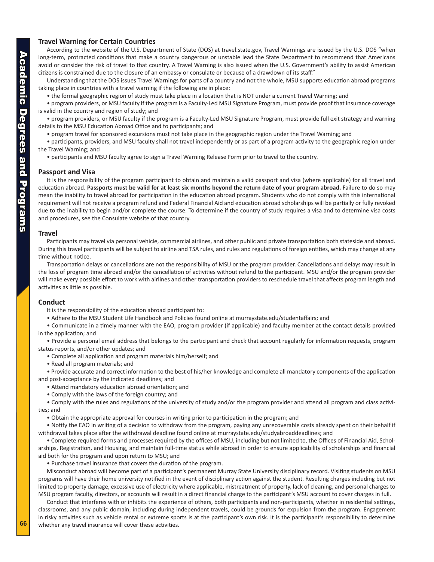#### **Travel Warning for Certain Countries**

According to the website of the U.S. Department of State (DOS) at travel.state.gov, Travel Warnings are issued by the U.S. DOS "when long-term, protracted conditions that make a country dangerous or unstable lead the State Department to recommend that Americans avoid or consider the risk of travel to that country. A Travel Warning is also issued when the U.S. Government's ability to assist American citizens is constrained due to the closure of an embassy or consulate or because of a drawdown of its staff."

Understanding that the DOS issues Travel Warnings for parts of a country and not the whole, MSU supports education abroad programs taking place in countries with a travel warning if the following are in place:

• the formal geographic region of study must take place in a location that is NOT under a current Travel Warning; and

• program providers, or MSU faculty if the program is a Faculty-Led MSU Signature Program, must provide proof that insurance coverage is valid in the country and region of study; and

• program providers, or MSU faculty if the program is a Faculty-Led MSU Signature Program, must provide full exit strategy and warning details to the MSU Education Abroad Office and to participants; and

• program travel for sponsored excursions must not take place in the geographic region under the Travel Warning; and

• participants, providers, and MSU faculty shall not travel independently or as part of a program activity to the geographic region under the Travel Warning; and

• participants and MSU faculty agree to sign a Travel Warning Release Form prior to travel to the country.

#### **Passport and Visa**

It is the responsibility of the program participant to obtain and maintain a valid passport and visa (where applicable) for all travel and education abroad. **Passports must be valid for at least six months beyond the return date of your program abroad.** Failure to do so may mean the inability to travel abroad for participation in the education abroad program. Students who do not comply with this international requirement will not receive a program refund and Federal Financial Aid and education abroad scholarships will be partially or fully revoked due to the inability to begin and/or complete the course. To determine if the country of study requires a visa and to determine visa costs and procedures, see the Consulate website of that country.

#### **Travel**

Participants may travel via personal vehicle, commercial airlines, and other public and private transportation both stateside and abroad. During this travel participants will be subject to airline and TSA rules, and rules and regulations of foreign entities, which may change at any time without notice.

Transportation delays or cancellations are not the responsibility of MSU or the program provider. Cancellations and delays may result in the loss of program time abroad and/or the cancellation of activities without refund to the participant. MSU and/or the program provider will make every possible effort to work with airlines and other transportation providers to reschedule travel that affects program length and activities as little as possible.

#### **Conduct**

It is the responsibility of the education abroad participant to:

• Adhere to the MSU Student Life Handbook and Policies found online at murraystate.edu/studentaffairs; and

• Communicate in a timely manner with the EAO, program provider (if applicable) and faculty member at the contact details provided in the application; and

• Provide a personal email address that belongs to the participant and check that account regularly for information requests, program status reports, and/or other updates; and

• Complete all application and program materials him/herself; and

• Read all program materials; and

• Provide accurate and correct information to the best of his/her knowledge and complete all mandatory components of the application and post-acceptance by the indicated deadlines; and

- Attend mandatory education abroad orientation; and
- Comply with the laws of the foreign country; and

• Comply with the rules and regulations of the university of study and/or the program provider and attend all program and class activities; and

• Obtain the appropriate approval for courses in writing prior to participation in the program; and

• Notify the EAO in writing of a decision to withdraw from the program, paying any unrecoverable costs already spent on their behalf if withdrawal takes place after the withdrawal deadline found online at murraystate.edu/studyabroaddeadlines; and

• Complete required forms and processes required by the offices of MSU, including but not limited to, the Offices of Financial Aid, Scholarships, Registration, and Housing, and maintain full-time status while abroad in order to ensure applicability of scholarships and financial aid both for the program and upon return to MSU; and

• Purchase travel insurance that covers the duration of the program.

Misconduct abroad will become part of a participant's permanent Murray State University disciplinary record. Visiting students on MSU programs will have their home university notified in the event of disciplinary action against the student. Resulting charges including but not limited to property damage, excessive use of electricity where applicable, mistreatment of property, lack of cleaning, and personal charges to MSU program faculty, directors, or accounts will result in a direct financial charge to the participant's MSU account to cover charges in full.

Conduct that interferes with or inhibits the experience of others, both participants and non-participants, whether in residential settings, classrooms, and any public domain, including during independent travels, could be grounds for expulsion from the program. Engagement in risky activities such as vehicle rental or extreme sports is at the participant's own risk. It is the participant's responsibility to determine whether any travel insurance will cover these activities.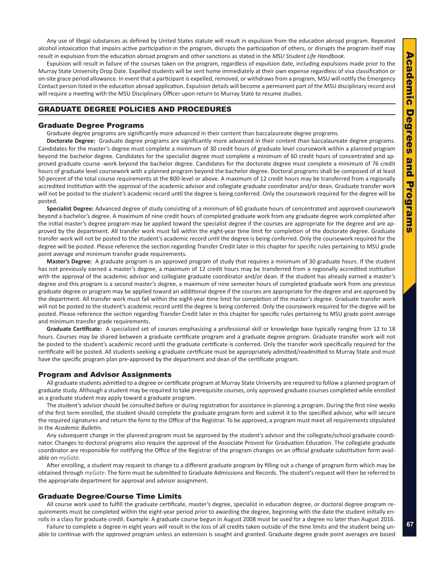<span id="page-20-0"></span>Any use of illegal substances as defined by United States statute will result in expulsion from the education abroad program. Repeated alcohol intoxication that impairs active participation in the program, disrupts the participation of others, or disrupts the program itself may result in expulsion from the education abroad program and other sanctions as stated in the *MSU Student Life Handbook*.

Expulsion will result in failure of the courses taken on the program, regardless of expulsion date, including expulsions made prior to the Murray State University Drop Date. Expelled students will be sent home immediately at their own expense regardless of visa classification or on-site grace period allowance. In event that a participant is expelled, removed, or withdraws from a program, MSU will notify the Emergency Contact person listed in the education abroad application. Expulsion details will become a permanent part of the MSU disciplinary record and will require a meeting with the MSU Disciplinary Officer upon return to Murray State to resume studies.

#### GRADUATE DEGREE POLICIES AND PROCEDURES

#### Graduate Degree Programs

Graduate degree programs are significantly more advanced in their content than baccalaureate degree programs.

**Doctorate Degree:** Graduate degree programs are significantly more advanced in their content than baccalaureate degree programs. Candidates for the master's degree must complete a minimum of 30 credit hours of graduate level coursework within a planned program beyond the bachelor degree. Candidates for the specialist degree must complete a minimum of 60 credit hours of concentrated and approved graduate course -work beyond the bachelor degree. Candidates for the doctorate degree must complete a minimum of 76 credit hours of graduate level coursework with a planned program beyond the bachelor degree. Doctoral programs shall be composed of at least 50 percent of the total course requirements at the 800-level or above. A maximum of 12 credit hours may be transferred from a regionally accredited institution with the approval of the academic advisor and collegiate graduate coordinator and/or dean. Graduate transfer work will not be posted to the student's academic record until the degree is being conferred. Only the coursework required for the degree will be posted.

**Specialist Degree:** Advanced degree of study consisting of a minimum of 60 graduate hours of concentrated and approved coursework beyond a bachelor's degree. A maximum of nine credit hours of completed graduate work from any graduate degree work completed after the initial master's degree program may be applied toward the specialist degree if the courses are appropriate for the degree and are approved by the department. All transfer work must fall within the eight-year time limit for completion of the doctorate degree. Graduate transfer work will not be posted to the student's academic record until the degree is being conferred. Only the coursework required for the degree will be posted. Please reference the section regarding Transfer Credit later in this chapter for specific rules pertaining to MSU grade point average and minimum transfer grade requirements.

**Master's Degree:** A graduate program is an approved program of study that requires a minimum of 30 graduate hours. If the student has not previously earned a master's degree, a maximum of 12 credit hours may be transferred from a regionally accredited institution with the approval of the academic advisor and collegiate graduate coordinator and/or dean. If the student has already earned a master's degree and this program is a second master's degree, a maximum of nine semester hours of completed graduate work from any previous graduate degree or program may be applied toward an additional degree if the courses are appropriate for the degree and are approved by the department. All transfer work must fall within the eight-year time limit for completion of the master's degree. Graduate transfer work will not be posted to the student's academic record until the degree is being conferred. Only the coursework required for the degree will be posted. Please reference the section regarding Transfer Credit later in this chapter for specific rules pertaining to MSU grade point average and minimum transfer grade requirements.

**Graduate Certificate:** A specialized set of courses emphasizing a professional skill or knowledge base typically ranging from 12 to 18 hours. Courses may be shared between a graduate certificate program and a graduate degree program. Graduate transfer work will not be posted to the student's academic record until the graduate certificate is conferred. Only the transfer work specifically required for the certificate will be posted. All students seeking a graduate certificate must be appropriately admitted/readmitted to Murray State and must have the specific program plan pre-approved by the department and dean of the certificate program.

#### Program and Advisor Assignments

All graduate students admitted to a degree or certificate program at Murray State University are required to follow a planned program of graduate study. Although a student may be required to take prerequisite courses, only approved graduate courses completed while enrolled as a graduate student may apply toward a graduate program.

The student's advisor should be consulted before or during registration for assistance in planning a program. During the first nine weeks of the first term enrolled, the student should complete the graduate program form and submit it to the specified advisor, who will secure the required signatures and return the form to the Office of the Registrar. To be approved, a program must meet all requirements stipulated in the *Academic Bulletin*.

Any subsequent change in the planned program must be approved by the student's advisor and the collegiate/school graduate coordinator. Changes to doctoral programs also require the approval of the Associate Provost for Graduation Education. The collegiate graduate coordinator are responsible for notifying the Office of the Registrar of the program changes on an official graduate substitution form available on *myGate*.

After enrolling, a student may request to change to a different graduate program by filling out a change of program form which may be obtained through *myGate*. The form must be submitted to Graduate Admissions and Records. The student's request will then be referred to the appropriate department for approval and advisor assignment.

#### Graduate Degree/Course Time Limits

All course work used to fulfill the graduate certificate, master's degree, specialist in education degree, or doctoral degree program requirements must be completed within the eight-year period prior to awarding the degree, beginning with the date the student initially enrolls in a class for graduate credit. Example: A graduate course begun in August 2008 must be used for a degree no later than August 2016.

Failure to complete a degree in eight years will result in the loss of all credits taken outside of the time limits and the student being unable to continue with the approved program unless an extension is sought and granted. Graduate degree grade point averages are based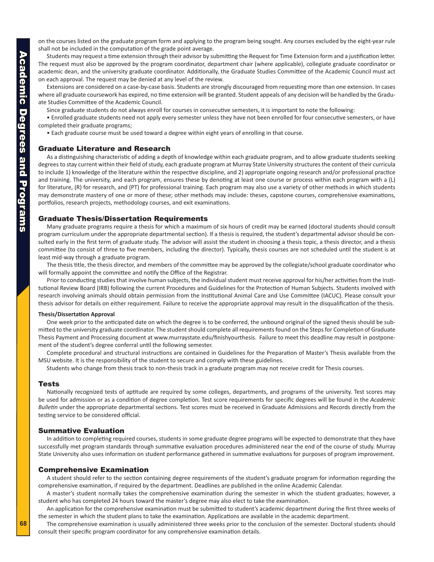<span id="page-21-0"></span>Academic Degrees and Programs **Academic Degrees and Programs**  on the courses listed on the graduate program form and applying to the program being sought. Any courses excluded by the eight-year rule shall not be included in the computation of the grade point average.

Students may request a time extension through their advisor by submitting the Request for Time Extension form and a justification letter. The request must also be approved by the program coordinator, department chair (where applicable), collegiate graduate coordinator or academic dean, and the university graduate coordinator. Additionally, the Graduate Studies Committee of the Academic Council must act on each approval. The request may be denied at any level of the review.

Extensions are considered on a case-by-case basis. Students are strongly discouraged from requesting more than one extension. In cases where all graduate coursework has expired, no time extension will be granted. Student appeals of any decision will be handled by the Graduate Studies Committee of the Academic Council.

Since graduate students do not always enroll for courses in consecutive semesters, it is important to note the following:

• Enrolled graduate students need not apply every semester unless they have not been enrolled for four consecutive semesters, or have completed their graduate programs;

• Each graduate course must be used toward a degree within eight years of enrolling in that course.

#### Graduate Literature and Research

As a distinguishing characteristic of adding a depth of knowledge within each graduate program, and to allow graduate students seeking degrees to stay current within their field of study, each graduate program at Murray State University structures the content of their curricula to include 1) knowledge of the literature within the respective discipline, and 2) appropriate ongoing research and/or professional practice and training. The university, and each program, ensures these by denoting at least one course or process within each program with a (L) for literature, (R) for research, and (PT) for professional training. Each program may also use a variety of other methods in which students may demonstrate mastery of one or more of these; other methods may include: theses, capstone courses, comprehensive examinations, portfolios, research projects, methodology courses, and exit examinations.

#### Graduate Thesis/Dissertation Requirements

Many graduate programs require a thesis for which a maximum of six hours of credit may be earned (doctoral students should consult program curriculum under the appropriate departmental section). If a thesis is required, the student's departmental advisor should be consulted early in the first term of graduate study. The advisor will assist the student in choosing a thesis topic, a thesis director, and a thesis committee (to consist of three to five members, including the director). Typically, thesis courses are not scheduled until the student is at least mid-way through a graduate program.

The thesis title, the thesis director, and members of the committee may be approved by the collegiate/school graduate coordinator who will formally appoint the committee and notify the Office of the Registrar.

Prior to conducting studies that involve human subjects, the individual student must receive approval for his/her activities from the Institutional Review Board (IRB) following the current Procedures and Guidelines for the Protection of Human Subjects. Students involved with research involving animals should obtain permission from the Institutional Animal Care and Use Committee (IACUC). Please consult your thesis advisor for details on either requirement. Failure to receive the appropriate approval may result in the disqualification of the thesis.

#### **Thesis/Dissertation Approval**

One week prior to the anticipated date on which the degree is to be conferred, the unbound original of the signed thesis should be submitted to the university graduate coordinator. The student should complete all requirements found on the Steps for Completion of Graduate Thesis Payment and Processing document at www.murraystate.edu/finishyourthesis. Failure to meet this deadline may result in postponement of the student's degree conferral until the following semester.

Complete procedural and structural instructions are contained in Guidelines for the Preparation of Master's Thesis available from the MSU website. It is the responsibility of the student to secure and comply with these guidelines.

Students who change from thesis track to non-thesis track in a graduate program may not receive credit for Thesis courses.

#### Tests

Nationally recognized tests of aptitude are required by some colleges, departments, and programs of the university. Test scores may be used for admission or as a condition of degree completion. Test score requirements for specific degrees will be found in the *Academic Bulletin* under the appropriate departmental sections. Test scores must be received in Graduate Admissions and Records directly from the testing service to be considered official.

#### Summative Evaluation

In addition to completing required courses, students in some graduate degree programs will be expected to demonstrate that they have successfully met program standards through summative evaluation procedures administered near the end of the course of study. Murray State University also uses information on student performance gathered in summative evaluations for purposes of program improvement.

#### Comprehensive Examination

A student should refer to the section containing degree requirements of the student's graduate program for information regarding the comprehensive examination, if required by the department. Deadlines are published in the online Academic Calendar.

A master's student normally takes the comprehensive examination during the semester in which the student graduates; however, a student who has completed 24 hours toward the master's degree may also elect to take the examination.

An application for the comprehensive examination must be submitted to student's academic department during the first three weeks of the semester in which the student plans to take the examination. Applications are available in the academic department.

The comprehensive examination is usually administered three weeks prior to the conclusion of the semester. Doctoral students should consult their specific program coordinator for any comprehensive examination details.